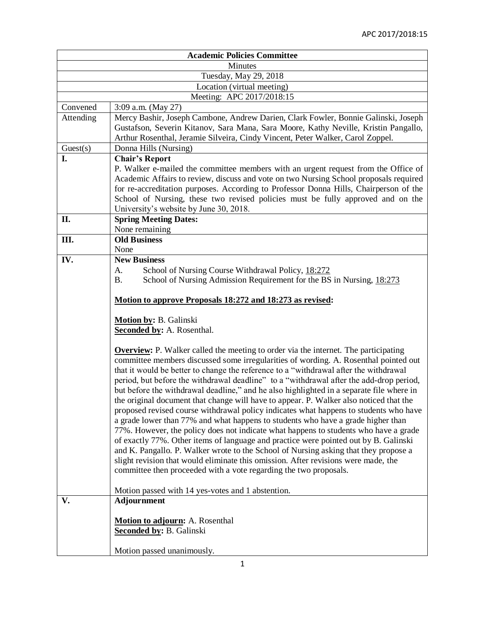| <b>Academic Policies Committee</b> |                                                                                                                                                                                                                                                                                                                                                                                                                                                                                                                                                                                                                                                                                                                                                                                                                                                                                                                                                                                        |
|------------------------------------|----------------------------------------------------------------------------------------------------------------------------------------------------------------------------------------------------------------------------------------------------------------------------------------------------------------------------------------------------------------------------------------------------------------------------------------------------------------------------------------------------------------------------------------------------------------------------------------------------------------------------------------------------------------------------------------------------------------------------------------------------------------------------------------------------------------------------------------------------------------------------------------------------------------------------------------------------------------------------------------|
| Minutes                            |                                                                                                                                                                                                                                                                                                                                                                                                                                                                                                                                                                                                                                                                                                                                                                                                                                                                                                                                                                                        |
| Tuesday, May 29, 2018              |                                                                                                                                                                                                                                                                                                                                                                                                                                                                                                                                                                                                                                                                                                                                                                                                                                                                                                                                                                                        |
| Location (virtual meeting)         |                                                                                                                                                                                                                                                                                                                                                                                                                                                                                                                                                                                                                                                                                                                                                                                                                                                                                                                                                                                        |
| Meeting: APC 2017/2018:15          |                                                                                                                                                                                                                                                                                                                                                                                                                                                                                                                                                                                                                                                                                                                                                                                                                                                                                                                                                                                        |
| Convened                           | 3:09 a.m. (May 27)                                                                                                                                                                                                                                                                                                                                                                                                                                                                                                                                                                                                                                                                                                                                                                                                                                                                                                                                                                     |
| Attending                          | Mercy Bashir, Joseph Cambone, Andrew Darien, Clark Fowler, Bonnie Galinski, Joseph<br>Gustafson, Severin Kitanov, Sara Mana, Sara Moore, Kathy Neville, Kristin Pangallo,<br>Arthur Rosenthal, Jeramie Silveira, Cindy Vincent, Peter Walker, Carol Zoppel.                                                                                                                                                                                                                                                                                                                                                                                                                                                                                                                                                                                                                                                                                                                            |
| Guest(s)                           | Donna Hills (Nursing)                                                                                                                                                                                                                                                                                                                                                                                                                                                                                                                                                                                                                                                                                                                                                                                                                                                                                                                                                                  |
| I.                                 | <b>Chair's Report</b><br>P. Walker e-mailed the committee members with an urgent request from the Office of<br>Academic Affairs to review, discuss and vote on two Nursing School proposals required<br>for re-accreditation purposes. According to Professor Donna Hills, Chairperson of the<br>School of Nursing, these two revised policies must be fully approved and on the<br>University's website by June 30, 2018.                                                                                                                                                                                                                                                                                                                                                                                                                                                                                                                                                             |
| II.                                | <b>Spring Meeting Dates:</b>                                                                                                                                                                                                                                                                                                                                                                                                                                                                                                                                                                                                                                                                                                                                                                                                                                                                                                                                                           |
|                                    | None remaining<br><b>Old Business</b>                                                                                                                                                                                                                                                                                                                                                                                                                                                                                                                                                                                                                                                                                                                                                                                                                                                                                                                                                  |
| Ш.                                 | None                                                                                                                                                                                                                                                                                                                                                                                                                                                                                                                                                                                                                                                                                                                                                                                                                                                                                                                                                                                   |
| IV.                                | <b>New Business</b>                                                                                                                                                                                                                                                                                                                                                                                                                                                                                                                                                                                                                                                                                                                                                                                                                                                                                                                                                                    |
|                                    | School of Nursing Course Withdrawal Policy, 18:272<br>A.<br>School of Nursing Admission Requirement for the BS in Nursing, 18:273<br>Β.<br>Motion to approve Proposals 18:272 and 18:273 as revised:                                                                                                                                                                                                                                                                                                                                                                                                                                                                                                                                                                                                                                                                                                                                                                                   |
|                                    | Motion by: B. Galinski<br><b>Seconded by:</b> A. Rosenthal.<br><b>Overview:</b> P. Walker called the meeting to order via the internet. The participating<br>committee members discussed some irregularities of wording. A. Rosenthal pointed out                                                                                                                                                                                                                                                                                                                                                                                                                                                                                                                                                                                                                                                                                                                                      |
|                                    | that it would be better to change the reference to a "withdrawal after the withdrawal<br>period, but before the withdrawal deadline" to a "withdrawal after the add-drop period,<br>but before the withdrawal deadline," and he also highlighted in a separate file where in<br>the original document that change will have to appear. P. Walker also noticed that the<br>proposed revised course withdrawal policy indicates what happens to students who have<br>a grade lower than 77% and what happens to students who have a grade higher than<br>77%. However, the policy does not indicate what happens to students who have a grade<br>of exactly 77%. Other items of language and practice were pointed out by B. Galinski<br>and K. Pangallo. P. Walker wrote to the School of Nursing asking that they propose a<br>slight revision that would eliminate this omission. After revisions were made, the<br>committee then proceeded with a vote regarding the two proposals. |
|                                    | Motion passed with 14 yes-votes and 1 abstention.                                                                                                                                                                                                                                                                                                                                                                                                                                                                                                                                                                                                                                                                                                                                                                                                                                                                                                                                      |
| V.                                 | <b>Adjournment</b><br><b>Motion to adjourn:</b> A. Rosenthal<br><b>Seconded by: B. Galinski</b><br>Motion passed unanimously.                                                                                                                                                                                                                                                                                                                                                                                                                                                                                                                                                                                                                                                                                                                                                                                                                                                          |